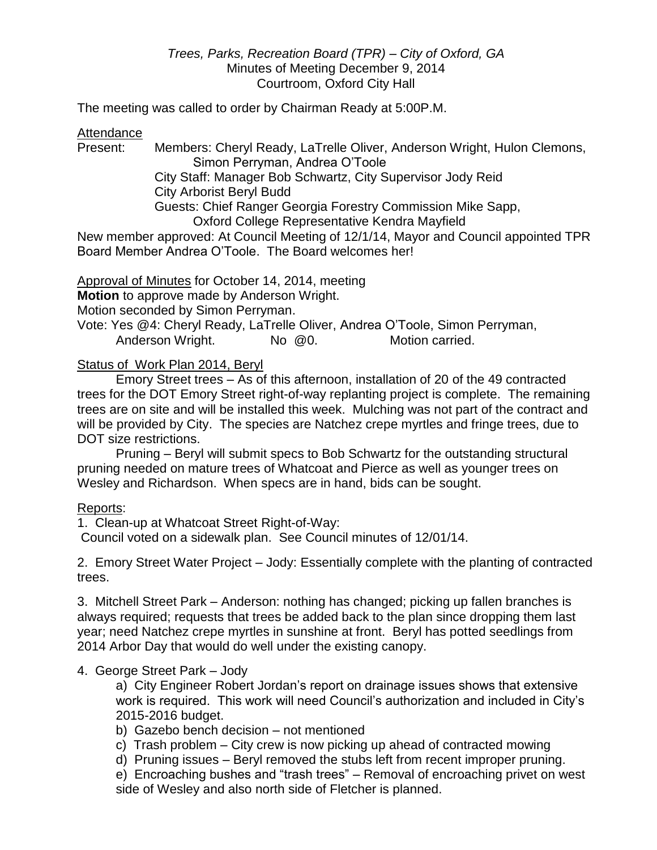## *Trees, Parks, Recreation Board (TPR) – City of Oxford, GA* Minutes of Meeting December 9, 2014 Courtroom, Oxford City Hall

The meeting was called to order by Chairman Ready at 5:00P.M.

Attendance

Present: Members: Cheryl Ready, LaTrelle Oliver, Anderson Wright, Hulon Clemons,

Simon Perryman, Andrea O'Toole City Staff: Manager Bob Schwartz, City Supervisor Jody Reid City Arborist Beryl Budd Guests: Chief Ranger Georgia Forestry Commission Mike Sapp, Oxford College Representative Kendra Mayfield

New member approved: At Council Meeting of 12/1/14, Mayor and Council appointed TPR Board Member Andrea O'Toole. The Board welcomes her!

Approval of Minutes for October 14, 2014, meeting **Motion** to approve made by Anderson Wright.

Motion seconded by Simon Perryman.

Vote: Yes @4: Cheryl Ready, LaTrelle Oliver, Andrea O'Toole, Simon Perryman, Anderson Wright. No @0. Motion carried.

Status of Work Plan 2014, Beryl

Emory Street trees – As of this afternoon, installation of 20 of the 49 contracted trees for the DOT Emory Street right-of-way replanting project is complete. The remaining trees are on site and will be installed this week. Mulching was not part of the contract and will be provided by City. The species are Natchez crepe myrtles and fringe trees, due to DOT size restrictions.

Pruning – Beryl will submit specs to Bob Schwartz for the outstanding structural pruning needed on mature trees of Whatcoat and Pierce as well as younger trees on Wesley and Richardson. When specs are in hand, bids can be sought.

Reports:

1. Clean-up at Whatcoat Street Right-of-Way:

Council voted on a sidewalk plan. See Council minutes of 12/01/14.

2. Emory Street Water Project – Jody: Essentially complete with the planting of contracted trees.

3. Mitchell Street Park – Anderson: nothing has changed; picking up fallen branches is always required; requests that trees be added back to the plan since dropping them last year; need Natchez crepe myrtles in sunshine at front. Beryl has potted seedlings from 2014 Arbor Day that would do well under the existing canopy.

# 4. George Street Park – Jody

a) City Engineer Robert Jordan's report on drainage issues shows that extensive work is required. This work will need Council's authorization and included in City's 2015-2016 budget.

b) Gazebo bench decision – not mentioned

- c) Trash problem City crew is now picking up ahead of contracted mowing
- d) Pruning issues Beryl removed the stubs left from recent improper pruning.

e) Encroaching bushes and "trash trees" – Removal of encroaching privet on west side of Wesley and also north side of Fletcher is planned.